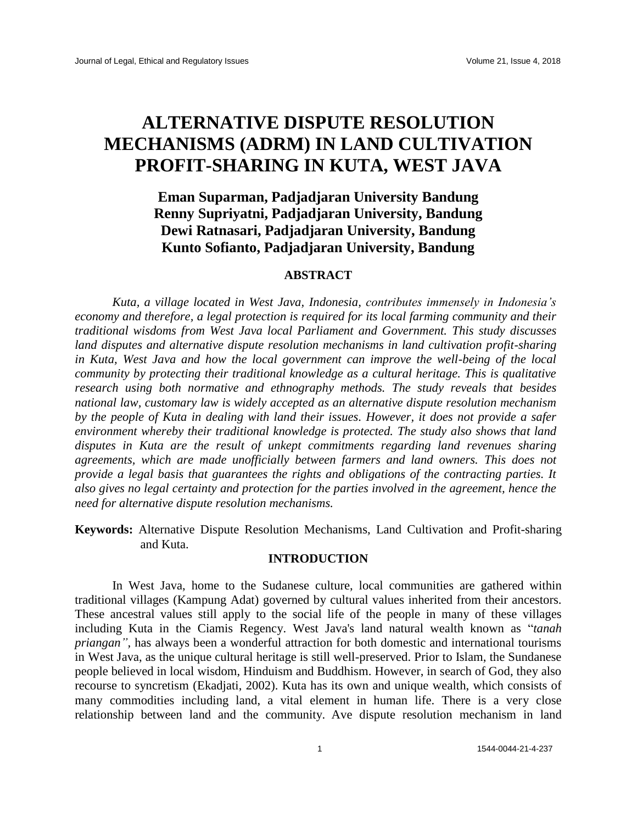# **ALTERNATIVE DISPUTE RESOLUTION MECHANISMS (ADRM) IN LAND CULTIVATION PROFIT-SHARING IN KUTA, WEST JAVA**

# **Eman Suparman, Padjadjaran University Bandung Renny Supriyatni, Padjadjaran University, Bandung Dewi Ratnasari, Padjadjaran University, Bandung Kunto Sofianto, Padjadjaran University, Bandung**

# **ABSTRACT**

*Kuta, a village located in West Java, Indonesia, contributes immensely in Indonesia's economy and therefore, a legal protection is required for its local farming community and their traditional wisdoms from West Java local Parliament and Government. This study discusses land disputes and alternative dispute resolution mechanisms in land cultivation profit-sharing in Kuta, West Java and how the local government can improve the well-being of the local community by protecting their traditional knowledge as a cultural heritage. This is qualitative research using both normative and ethnography methods. The study reveals that besides national law, customary law is widely accepted as an alternative dispute resolution mechanism by the people of Kuta in dealing with land their issues. However, it does not provide a safer environment whereby their traditional knowledge is protected. The study also shows that land disputes in Kuta are the result of unkept commitments regarding land revenues sharing agreements, which are made unofficially between farmers and land owners. This does not provide a legal basis that guarantees the rights and obligations of the contracting parties. It also gives no legal certainty and protection for the parties involved in the agreement, hence the need for alternative dispute resolution mechanisms.*

**Keywords:** Alternative Dispute Resolution Mechanisms, Land Cultivation and Profit-sharing and Kuta.

# **INTRODUCTION**

In West Java, home to the Sudanese culture, local communities are gathered within traditional villages (Kampung Adat) governed by cultural values inherited from their ancestors. These ancestral values still apply to the social life of the people in many of these villages including Kuta in the Ciamis Regency. West Java's land natural wealth known as "*tanah priangan",* has always been a wonderful attraction for both domestic and international tourisms in West Java, as the unique cultural heritage is still well-preserved. Prior to Islam, the Sundanese people believed in local wisdom, Hinduism and Buddhism. However, in search of God, they also recourse to syncretism (Ekadjati, 2002). Kuta has its own and unique wealth, which consists of many commodities including land, a vital element in human life. There is a very close relationship between land and the community. Ave dispute resolution mechanism in land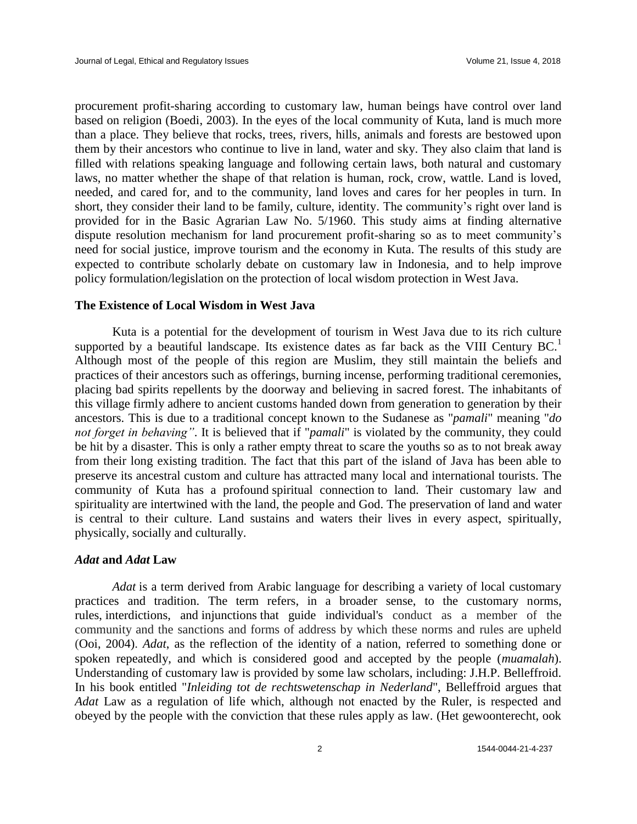procurement profit-sharing according to customary law, human beings have control over land based on religion (Boedi, 2003). In the eyes of the local community of Kuta, land is much more than a place. They believe that rocks, trees, rivers, hills, animals and forests are bestowed upon them by their ancestors who continue to live in land, water and sky. They also claim that land is filled with relations speaking language and following certain laws, both natural and customary laws, no matter whether the shape of that relation is human, rock, crow, wattle. Land is loved, needed, and cared for, and to the community, land loves and cares for her peoples in turn. In short, they consider their land to be family, culture, identity. The community's right over land is provided for in the Basic Agrarian Law No. 5/1960. This study aims at finding alternative dispute resolution mechanism for land procurement profit-sharing so as to meet community's need for social justice, improve tourism and the economy in Kuta. The results of this study are expected to contribute scholarly debate on customary law in Indonesia, and to help improve policy formulation/legislation on the protection of local wisdom protection in West Java.

#### **The Existence of Local Wisdom in West Java**

Kuta is a potential for the development of tourism in West Java due to its rich culture supported by a beautiful landscape. Its existence dates as far back as the VIII Century  $BC<sup>1</sup>$ Although most of the people of this region are Muslim, they still maintain the beliefs and practices of their ancestors such as offerings, burning incense, performing traditional ceremonies, placing bad spirits repellents by the doorway and believing in sacred forest. The inhabitants of this village firmly adhere to ancient customs handed down from generation to generation by their ancestors. This is due to a traditional concept known to the Sudanese as "*pamali*" meaning "*do not forget in behaving"*. It is believed that if "*pamali*" is violated by the community, they could be hit by a disaster. This is only a rather empty threat to scare the youths so as to not break away from their long existing tradition. The fact that this part of the island of Java has been able to preserve its ancestral custom and culture has attracted many local and international tourists. The community of Kuta has a profound spiritual connection to land. Their customary law and spirituality are intertwined with the land, the people and God. The preservation of land and water is central to their culture. Land sustains and waters their lives in every aspect, spiritually, physically, socially and culturally.

# *Adat* **and** *Adat* **Law**

*Adat* is a term derived from Arabic language for describing a variety of local customary practices and tradition. The term refers, in a broader sense, to the customary norms, rules, interdictions, and injunctions that guide individual's conduct as a member of the community and the sanctions and forms of address by which these norms and rules are upheld (Ooi, 2004). *Adat*, as the reflection of the identity of a nation, referred to something done or spoken repeatedly, and which is considered good and accepted by the people (*muamalah*). Understanding of customary law is provided by some law scholars, including: J.H.P. Belleffroid. In his book entitled "*Inleiding tot de rechtswetenschap in Nederland*", Belleffroid argues that *Adat* Law as a regulation of life which, although not enacted by the Ruler, is respected and obeyed by the people with the conviction that these rules apply as law. (Het gewoonterecht, ook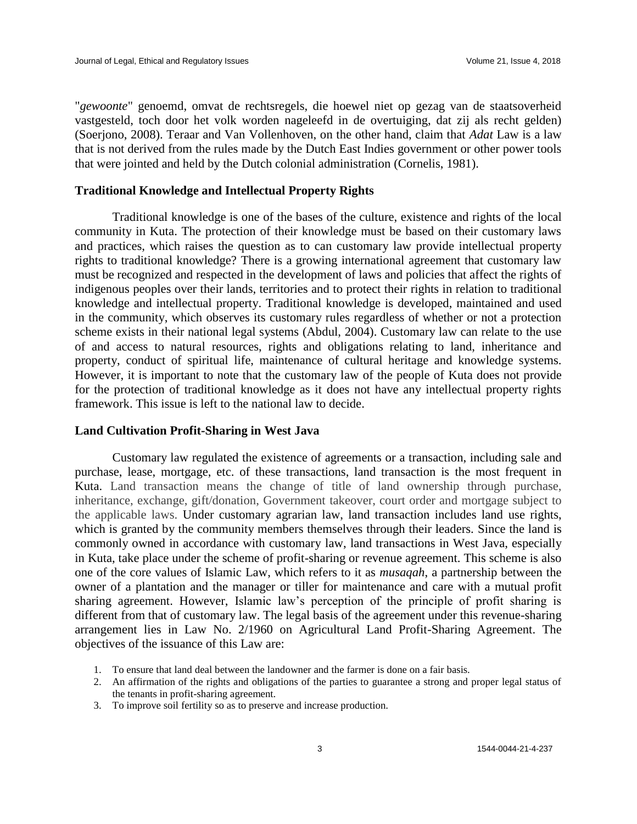"*gewoonte*" genoemd, omvat de rechtsregels, die hoewel niet op gezag van de staatsoverheid vastgesteld, toch door het volk worden nageleefd in de overtuiging, dat zij als recht gelden) (Soerjono, 2008). Teraar and Van Vollenhoven, on the other hand, claim that *Adat* Law is a law that is not derived from the rules made by the Dutch East Indies government or other power tools that were jointed and held by the Dutch colonial administration (Cornelis, 1981).

# **Traditional Knowledge and Intellectual Property Rights**

Traditional knowledge is one of the bases of the culture, existence and rights of the local community in Kuta. The protection of their knowledge must be based on their customary laws and practices, which raises the question as to can customary law provide intellectual property rights to traditional knowledge? There is a growing international agreement that customary law must be recognized and respected in the development of laws and policies that affect the rights of indigenous peoples over their lands, territories and to protect their rights in relation to traditional knowledge and intellectual property. Traditional knowledge is developed, maintained and used in the community, which observes its customary rules regardless of whether or not a protection scheme exists in their national legal systems (Abdul, 2004). Customary law can relate to the use of and access to natural resources, rights and obligations relating to land, inheritance and property, conduct of spiritual life, maintenance of cultural heritage and knowledge systems. However, it is important to note that the customary law of the people of Kuta does not provide for the protection of traditional knowledge as it does not have any intellectual property rights framework. This issue is left to the national law to decide.

#### **Land Cultivation Profit-Sharing in West Java**

Customary law regulated the existence of agreements or a transaction, including sale and purchase, lease, mortgage, etc. of these transactions, land transaction is the most frequent in Kuta. Land transaction means the change of title of land ownership through purchase, inheritance, exchange, gift/donation, Government takeover, court order and mortgage subject to the applicable laws. Under customary agrarian law, land transaction includes land use rights, which is granted by the community members themselves through their leaders. Since the land is commonly owned in accordance with customary law, land transactions in West Java, especially in Kuta, take place under the scheme of profit-sharing or revenue agreement. This scheme is also one of the core values of Islamic Law, which refers to it as *musaqah*, a partnership between the owner of a plantation and the manager or tiller for maintenance and care with a mutual profit sharing agreement. However, Islamic law's perception of the principle of profit sharing is different from that of customary law. The legal basis of the agreement under this revenue-sharing arrangement lies in Law No. 2/1960 on Agricultural Land Profit-Sharing Agreement. The objectives of the issuance of this Law are:

- 1. To ensure that land deal between the landowner and the farmer is done on a fair basis.
- 2. An affirmation of the rights and obligations of the parties to guarantee a strong and proper legal status of the tenants in profit-sharing agreement.
- 3. To improve soil fertility so as to preserve and increase production.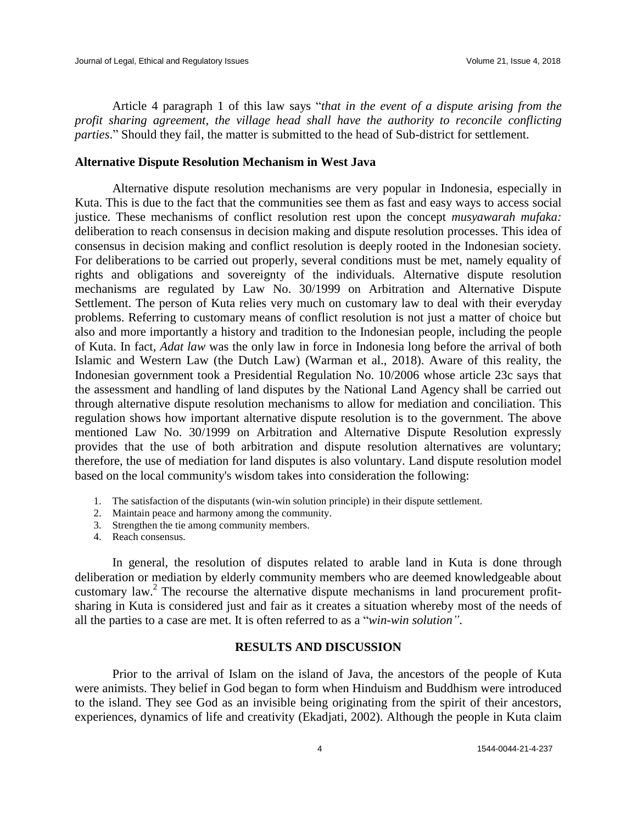Article 4 paragraph 1 of this law says "*that in the event of a dispute arising from the profit sharing agreement, the village head shall have the authority to reconcile conflicting parties*." Should they fail, the matter is submitted to the head of Sub-district for settlement.

### **Alternative Dispute Resolution Mechanism in West Java**

Alternative dispute resolution mechanisms are very popular in Indonesia, especially in Kuta. This is due to the fact that the communities see them as fast and easy ways to access social justice. These mechanisms of conflict resolution rest upon the concept *musyawarah mufaka:*  deliberation to reach consensus in decision making and dispute resolution processes. This idea of consensus in decision making and conflict resolution is deeply rooted in the Indonesian society. For deliberations to be carried out properly, several conditions must be met, namely equality of rights and obligations and sovereignty of the individuals. Alternative dispute resolution mechanisms are regulated by Law No. 30/1999 on Arbitration and Alternative Dispute Settlement. The person of Kuta relies very much on customary law to deal with their everyday problems. Referring to customary means of conflict resolution is not just a matter of choice but also and more importantly a history and tradition to the Indonesian people, including the people of Kuta. In fact, *Adat law* was the only law in force in Indonesia long before the arrival of both Islamic and Western Law (the Dutch Law) (Warman et al., 2018). Aware of this reality, the Indonesian government took a Presidential Regulation No. 10/2006 whose article 23c says that the assessment and handling of land disputes by the National Land Agency shall be carried out through alternative dispute resolution mechanisms to allow for mediation and conciliation. This regulation shows how important alternative dispute resolution is to the government. The above mentioned Law No. 30/1999 on Arbitration and Alternative Dispute Resolution expressly provides that the use of both arbitration and dispute resolution alternatives are voluntary; therefore, the use of mediation for land disputes is also voluntary. Land dispute resolution model based on the local community's wisdom takes into consideration the following:

- 1. The satisfaction of the disputants (win-win solution principle) in their dispute settlement.
- 2. Maintain peace and harmony among the community.
- 3. Strengthen the tie among community members.
- 4. Reach consensus.

In general, the resolution of disputes related to arable land in Kuta is done through deliberation or mediation by elderly community members who are deemed knowledgeable about customary law.<sup>2</sup> The recourse the alternative dispute mechanisms in land procurement profitsharing in Kuta is considered just and fair as it creates a situation whereby most of the needs of all the parties to a case are met. It is often referred to as a "*win-win solution"*.

# **RESULTS AND DISCUSSION**

Prior to the arrival of Islam on the island of Java, the ancestors of the people of Kuta were animists. They belief in God began to form when Hinduism and Buddhism were introduced to the island. They see God as an invisible being originating from the spirit of their ancestors, experiences, dynamics of life and creativity (Ekadjati, 2002). Although the people in Kuta claim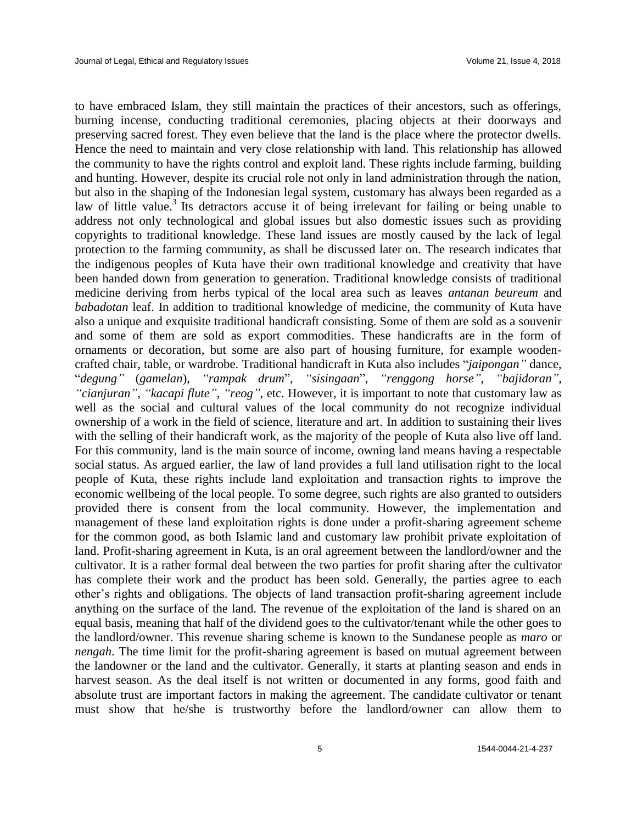to have embraced Islam, they still maintain the practices of their ancestors, such as offerings, burning incense, conducting traditional ceremonies, placing objects at their doorways and preserving sacred forest. They even believe that the land is the place where the protector dwells. Hence the need to maintain and very close relationship with land. This relationship has allowed the community to have the rights control and exploit land. These rights include farming, building and hunting. However, despite its crucial role not only in land administration through the nation, but also in the shaping of the Indonesian legal system, customary has always been regarded as a law of little value.<sup>3</sup> Its detractors accuse it of being irrelevant for failing or being unable to address not only technological and global issues but also domestic issues such as providing copyrights to traditional knowledge. These land issues are mostly caused by the lack of legal protection to the farming community, as shall be discussed later on. The research indicates that the indigenous peoples of Kuta have their own traditional knowledge and creativity that have been handed down from generation to generation. Traditional knowledge consists of traditional medicine deriving from herbs typical of the local area such as leaves *antanan beureum* and *babadotan* leaf. In addition to traditional knowledge of medicine, the community of Kuta have also a unique and exquisite traditional handicraft consisting. Some of them are sold as a souvenir and some of them are sold as export commodities. These handicrafts are in the form of ornaments or decoration, but some are also part of housing furniture, for example woodencrafted chair, table, or wardrobe. Traditional handicraft in Kuta also includes "*jaipongan"* dance, "*degung"* (*gamelan*), *"rampak drum*", *"sisingaan*", *"renggong horse"*, *"bajidoran"*, *"cianjuran"*, *"kacapi flute", "reog"*, etc. However, it is important to note that customary law as well as the social and cultural values of the local community do not recognize individual ownership of a work in the field of science, literature and art. In addition to sustaining their lives with the selling of their handicraft work, as the majority of the people of Kuta also live off land. For this community, land is the main source of income, owning land means having a respectable social status. As argued earlier, the law of land provides a full land utilisation right to the local people of Kuta, these rights include land exploitation and transaction rights to improve the economic wellbeing of the local people. To some degree, such rights are also granted to outsiders provided there is consent from the local community. However, the implementation and management of these land exploitation rights is done under a profit-sharing agreement scheme for the common good, as both Islamic land and customary law prohibit private exploitation of land. Profit-sharing agreement in Kuta, is an oral agreement between the landlord/owner and the cultivator. It is a rather formal deal between the two parties for profit sharing after the cultivator has complete their work and the product has been sold. Generally, the parties agree to each other's rights and obligations. The objects of land transaction profit-sharing agreement include anything on the surface of the land. The revenue of the exploitation of the land is shared on an equal basis, meaning that half of the dividend goes to the cultivator/tenant while the other goes to the landlord/owner. This revenue sharing scheme is known to the Sundanese people as *maro* or *nengah*. The time limit for the profit-sharing agreement is based on mutual agreement between the landowner or the land and the cultivator. Generally, it starts at planting season and ends in harvest season. As the deal itself is not written or documented in any forms, good faith and absolute trust are important factors in making the agreement. The candidate cultivator or tenant must show that he/she is trustworthy before the landlord/owner can allow them to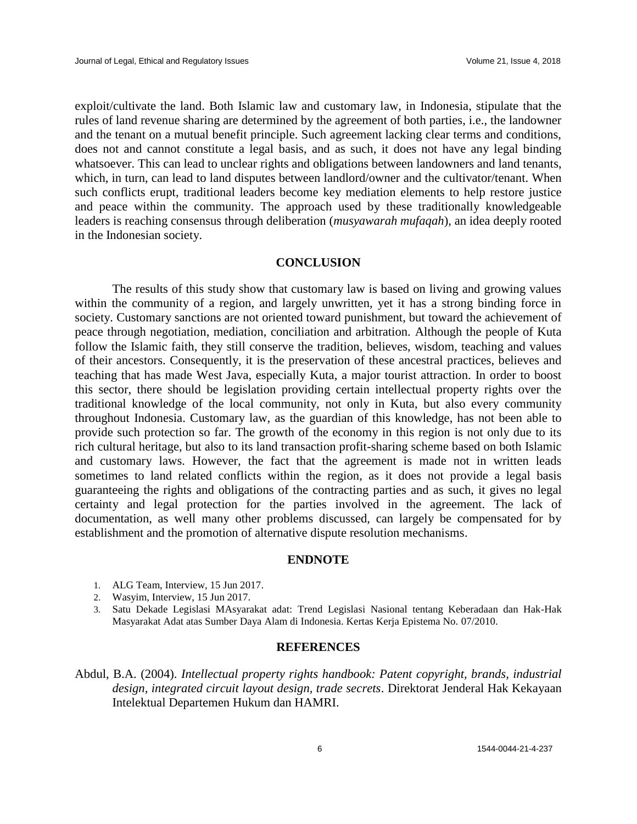exploit/cultivate the land. Both Islamic law and customary law, in Indonesia, stipulate that the rules of land revenue sharing are determined by the agreement of both parties, i.e., the landowner and the tenant on a mutual benefit principle. Such agreement lacking clear terms and conditions, does not and cannot constitute a legal basis, and as such, it does not have any legal binding whatsoever. This can lead to unclear rights and obligations between landowners and land tenants, which, in turn, can lead to land disputes between landlord/owner and the cultivator/tenant. When such conflicts erupt, traditional leaders become key mediation elements to help restore justice and peace within the community. The approach used by these traditionally knowledgeable leaders is reaching consensus through deliberation (*musyawarah mufaqah*), an idea deeply rooted in the Indonesian society.

# **CONCLUSION**

The results of this study show that customary law is based on living and growing values within the community of a region, and largely unwritten, yet it has a strong binding force in society. Customary sanctions are not oriented toward punishment, but toward the achievement of peace through negotiation, mediation, conciliation and arbitration. Although the people of Kuta follow the Islamic faith, they still conserve the tradition, believes, wisdom, teaching and values of their ancestors. Consequently, it is the preservation of these ancestral practices, believes and teaching that has made West Java, especially Kuta, a major tourist attraction. In order to boost this sector, there should be legislation providing certain intellectual property rights over the traditional knowledge of the local community, not only in Kuta, but also every community throughout Indonesia. Customary law, as the guardian of this knowledge, has not been able to provide such protection so far. The growth of the economy in this region is not only due to its rich cultural heritage, but also to its land transaction profit-sharing scheme based on both Islamic and customary laws. However, the fact that the agreement is made not in written leads sometimes to land related conflicts within the region, as it does not provide a legal basis guaranteeing the rights and obligations of the contracting parties and as such, it gives no legal certainty and legal protection for the parties involved in the agreement. The lack of documentation, as well many other problems discussed, can largely be compensated for by establishment and the promotion of alternative dispute resolution mechanisms.

#### **ENDNOTE**

- 1. ALG Team, Interview, 15 Jun 2017.
- 2. Wasyim, Interview, 15 Jun 2017.
- 3. Satu Dekade Legislasi MAsyarakat adat: Trend Legislasi Nasional tentang Keberadaan dan Hak-Hak Masyarakat Adat atas Sumber Daya Alam di Indonesia. Kertas Kerja Epistema No. 07/2010.

#### **REFERENCES**

Abdul, B.A. (2004). *Intellectual property rights handbook: Patent copyright, brands, industrial design, integrated circuit layout design, trade secrets*. Direktorat Jenderal Hak Kekayaan Intelektual Departemen Hukum dan HAMRI.